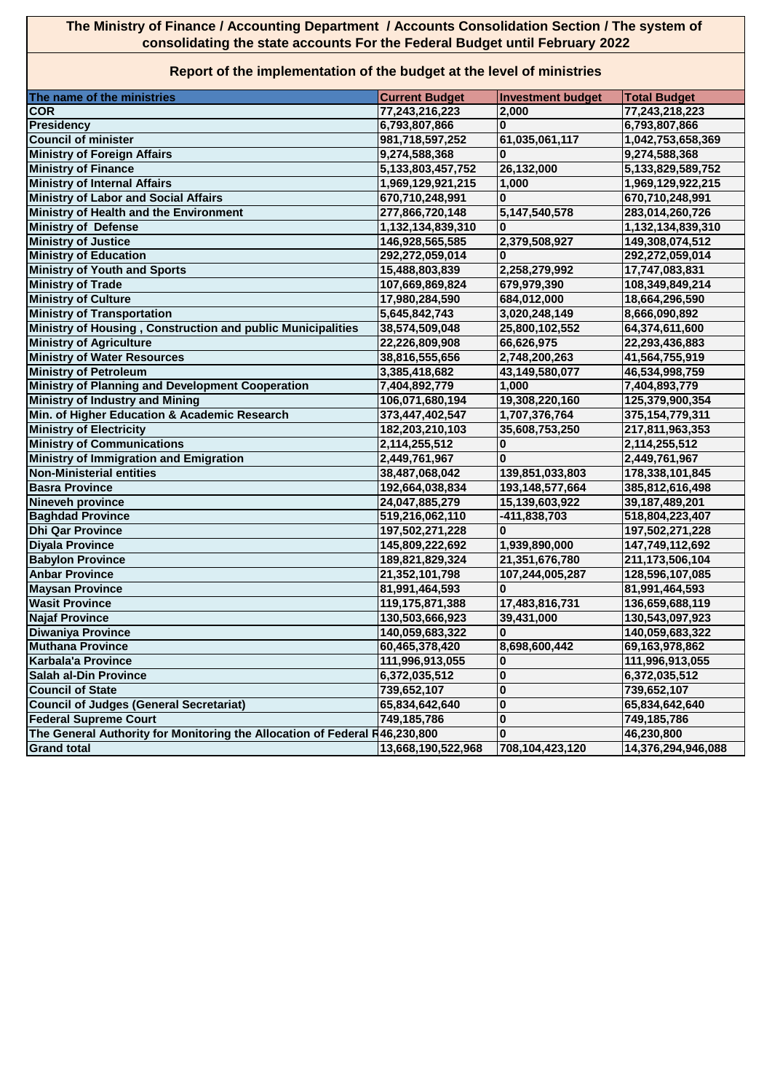## **The Ministry of Finance / Accounting Department / Accounts Consolidation Section / The system of consolidating the state accounts For the Federal Budget until February 2022**

## **Report of the implementation of the budget at the level of ministries**

| The name of the ministries                                                 | <b>Current Budget</b> | <b>Investment budget</b> | <b>Total Budget</b> |
|----------------------------------------------------------------------------|-----------------------|--------------------------|---------------------|
| <b>COR</b>                                                                 | 77,243,216,223        | 2,000                    | 77,243,218,223      |
| <b>Presidency</b>                                                          | 6,793,807,866         | $\bf{0}$                 | 6,793,807,866       |
| <b>Council of minister</b>                                                 | 981,718,597,252       | 61,035,061,117           | 1,042,753,658,369   |
| <b>Ministry of Foreign Affairs</b>                                         | 9,274,588,368         | O                        | 9,274,588,368       |
| <b>Ministry of Finance</b>                                                 | 5, 133, 803, 457, 752 | 26,132,000               | 5,133,829,589,752   |
| <b>Ministry of Internal Affairs</b>                                        | 1,969,129,921,215     | 1,000                    | 1,969,129,922,215   |
| <b>Ministry of Labor and Social Affairs</b>                                | 670,710,248,991       | $\bf{0}$                 | 670,710,248,991     |
| Ministry of Health and the Environment                                     | 277,866,720,148       | 5,147,540,578            | 283,014,260,726     |
| <b>Ministry of Defense</b>                                                 | 1,132,134,839,310     | O                        | 1,132,134,839,310   |
| <b>Ministry of Justice</b>                                                 | 146,928,565,585       | 2,379,508,927            | 149,308,074,512     |
| <b>Ministry of Education</b>                                               | 292,272,059,014       |                          | 292,272,059,014     |
| <b>Ministry of Youth and Sports</b>                                        | 15,488,803,839        | 2,258,279,992            | 17,747,083,831      |
| <b>Ministry of Trade</b>                                                   | 107,669,869,824       | 679,979,390              | 108,349,849,214     |
| <b>Ministry of Culture</b>                                                 | 17,980,284,590        | 684,012,000              | 18,664,296,590      |
| <b>Ministry of Transportation</b>                                          | 5,645,842,743         | 3,020,248,149            | 8,666,090,892       |
| Ministry of Housing, Construction and public Municipalities                | 38,574,509,048        | 25,800,102,552           | 64,374,611,600      |
| <b>Ministry of Agriculture</b>                                             | 22,226,809,908        | 66,626,975               | 22,293,436,883      |
| <b>Ministry of Water Resources</b>                                         | 38,816,555,656        | 2,748,200,263            | 41,564,755,919      |
| <b>Ministry of Petroleum</b>                                               | 3,385,418,682         | 43,149,580,077           | 46,534,998,759      |
| Ministry of Planning and Development Cooperation                           | 7,404,892,779         | 1,000                    | 7,404,893,779       |
| <b>Ministry of Industry and Mining</b>                                     | 106,071,680,194       | 19,308,220,160           | 125,379,900,354     |
| Min. of Higher Education & Academic Research                               | 373,447,402,547       | 1,707,376,764            | 375,154,779,311     |
| <b>Ministry of Electricity</b>                                             | 182,203,210,103       | 35,608,753,250           | 217,811,963,353     |
| <b>Ministry of Communications</b>                                          | 2,114,255,512         | 0                        | 2,114,255,512       |
| <b>Ministry of Immigration and Emigration</b>                              | 2,449,761,967         | $\Omega$                 | 2,449,761,967       |
| <b>Non-Ministerial entities</b>                                            | 38,487,068,042        | 139,851,033,803          | 178,338,101,845     |
| <b>Basra Province</b>                                                      | 192,664,038,834       | 193,148,577,664          | 385,812,616,498     |
| <b>Nineveh province</b>                                                    | 24,047,885,279        | 15,139,603,922           | 39,187,489,201      |
| <b>Baghdad Province</b>                                                    | 519,216,062,110       | -411,838,703             | 518,804,223,407     |
| <b>Dhi Qar Province</b>                                                    | 197,502,271,228       | $\bf{0}$                 | 197,502,271,228     |
| <b>Diyala Province</b>                                                     | 145,809,222,692       | 1,939,890,000            | 147,749,112,692     |
| <b>Babylon Province</b>                                                    | 189,821,829,324       | 21,351,676,780           | 211,173,506,104     |
| <b>Anbar Province</b>                                                      | 21,352,101,798        | 107,244,005,287          | 128,596,107,085     |
| <b>Maysan Province</b>                                                     | 81,991,464,593        | $\mathbf{0}$             | 81,991,464,593      |
| <b>Wasit Province</b>                                                      |                       |                          |                     |
| <b>Najaf Province</b>                                                      | 119,175,871,388       | 17,483,816,731           | 136,659,688,119     |
|                                                                            | 130,503,666,923       | 39,431,000<br>$\bf{0}$   | 130,543,097,923     |
| <b>Diwaniya Province</b>                                                   | 140,059,683,322       |                          | 140,059,683,322     |
| <b>Muthana Province</b>                                                    | 60,465,378,420        | 8,698,600,442            | 69,163,978,862      |
| <b>Karbala'a Province</b>                                                  | 111,996,913,055       | 0                        | 111,996,913,055     |
| <b>Salah al-Din Province</b>                                               | 6,372,035,512         | $\mathbf{0}$             | 6,372,035,512       |
| <b>Council of State</b>                                                    | 739,652,107           | $\bf{0}$                 | 739,652,107         |
| <b>Council of Judges (General Secretariat)</b>                             | 65,834,642,640        | $\mathbf 0$              | 65,834,642,640      |
| <b>Federal Supreme Court</b>                                               | 749,185,786           | $\mathbf{0}$             | 749,185,786         |
| The General Authority for Monitoring the Allocation of Federal R46,230,800 |                       | $\bf{0}$                 | 46,230,800          |
| <b>Grand total</b>                                                         | 13,668,190,522,968    | 708,104,423,120          | 14,376,294,946,088  |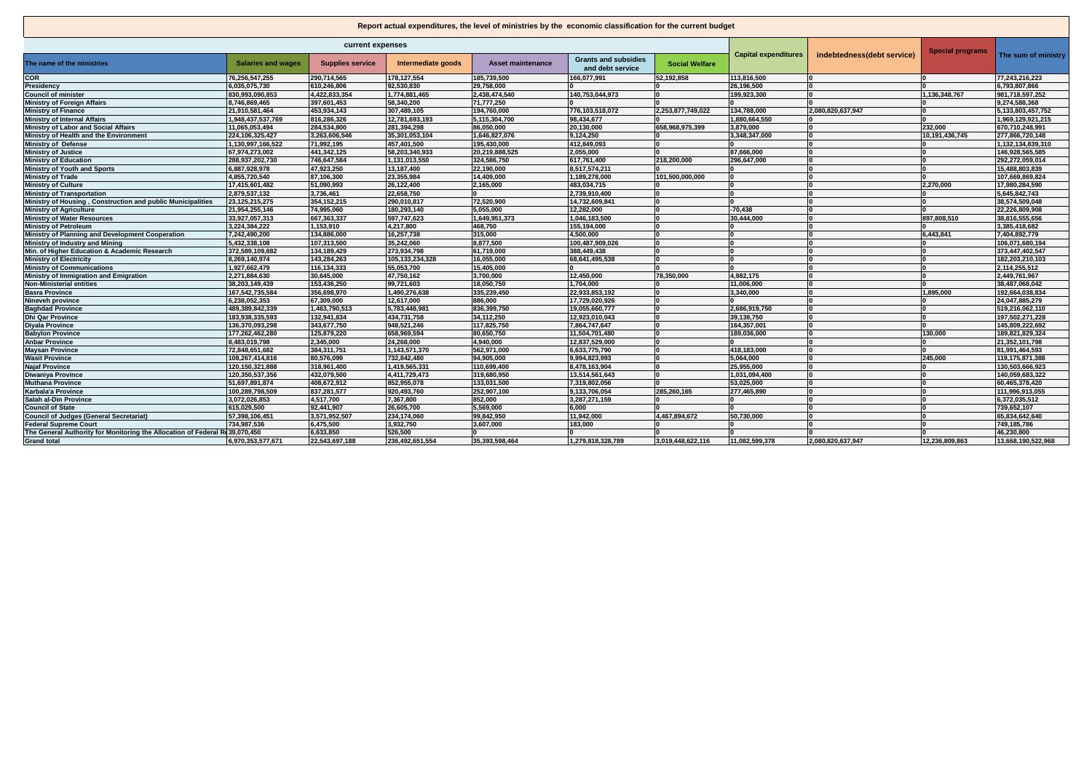## **Report actual expenditures, the level of ministries by the economic classification for the current budget**

 $\sqrt{2}$ 

| current expenses                                                            |                           |                         |                    |                          |                                                 | indebtedness(debt service) | <b>Special programs</b>     |                   |                |                     |
|-----------------------------------------------------------------------------|---------------------------|-------------------------|--------------------|--------------------------|-------------------------------------------------|----------------------------|-----------------------------|-------------------|----------------|---------------------|
| The name of the ministries                                                  | <b>Salaries and wages</b> | <b>Supplies service</b> | Intermediate goods | <b>Asset maintenance</b> | <b>Grants and subsidies</b><br>and debt service | <b>Social Welfare</b>      | <b>Capital expenditures</b> |                   |                | The sum of ministry |
| <b>COR</b>                                                                  | 76.256.547.255            | 290.714.565             | 178,127,554        | 185,739,500              | 166.077.991                                     | 52,192,858                 | 113.816.500                 |                   |                | 77.243.216.223      |
| Presidency                                                                  | 6,035,075,730             | 610,246,806             | 92,530,830         | 29,758,000               |                                                 |                            | 26,196,500                  |                   |                | 6,793,807,866       |
| <b>Council of minister</b>                                                  | 830.993.090.853           | 4.422.833.354           | 1,774,881,465      | 2,438,474,540            | 140.753.044.973                                 |                            | 199.923.300                 |                   | 1.136.348.767  | 981.718.597.252     |
| <b>Ministry of Foreign Affairs</b>                                          | 8,746,869,465             | 397,601,453             | 58,340,200         | 71,777,250               |                                                 |                            |                             |                   |                | 9,274,588,368       |
| <b>Ministry of Finance</b>                                                  | 21,910,581,464            | 453,934,143             | 307,489,105        | 194,760,000              | 776,103,518,072                                 | 2,253,877,749,022          | 134,788,000                 | 2,080,820,637,947 |                | 5,133,803,457,752   |
| <b>Ministry of Internal Affairs</b>                                         | 1,948,437,537,769         | 816.286.326             | 12,781,693,193     | 5.115.304.700            | 98,434,677                                      |                            | 1.880.664.550               |                   |                | 1,969,129,921,215   |
| Ministry of Labor and Social Affairs                                        | 11,065,053,494            | 284,534,800             | 281,394,298        | 86,050,000               | 20,130,000                                      | 658,968,975,399            | 3.879.000                   | ١n                | 232,000        | 670,710,248,991     |
| Ministry of Health and the Environment                                      | 224,106,325,427           | 3,263,606,546           | 35,301,053,104     | 1,646,827,076            | 9,124,250                                       |                            | 3,348,347,000               |                   | 10,191,436,745 | 277,866,720,148     |
| <b>Ministry of Defense</b>                                                  | 1.130.997.166.522         | 71.992.195              | 457,401,500        | 195,430,000              | 412,849,093                                     |                            |                             |                   |                | 1,132,134,839,310   |
| <b>Ministry of Justice</b>                                                  | 67,974,273,002            | 441,342,125             | 58,203,340,933     | 20,219,888,525           | 2,055,000                                       |                            | 87,666,000                  | ١n                |                | 146,928,565,585     |
| <b>Ministry of Education</b>                                                | 288,937,202,730           | 746.647.584             | 1,131,013,550      | 324,586,750              | 617,761,400                                     | 218.200.000                | 296.647.000                 | ١n                |                | 292,272,059,014     |
| <b>Ministry of Youth and Sports</b>                                         | 6,887,928,978             | 47,923,250              | 13,187,400         | 22,190,000               | 8,517,574,211                                   |                            |                             | ١n                | ١n             | 15,488,803,839      |
| <b>Ministry of Trade</b>                                                    | 4,855,720,540             | 87,106,300              | 23,355,984         | 14,409,000               | 1,189,278,000                                   | 101,500,000,000            |                             | ١n                |                | 107,669,869,824     |
| <b>Ministry of Culture</b>                                                  | 17,415,601,482            | 51,090,993              | 26,122,400         | 2,165,000                | 483,034,715                                     |                            |                             | ١n                | 2.270.000      | 17,980,284,590      |
| <b>Ministry of Transportation</b>                                           | 2.879.537.132             | 3.736.461               | 22,658,750         |                          | 2.739.910.400                                   |                            |                             | ١n                |                | 5,645,842,743       |
| Ministry of Housing, Construction and public Municipalities                 | 23, 125, 215, 275         | 354, 152, 215           | 290,010,817        | 72,520,900               | 14,732,609,841                                  |                            |                             | ١n                |                | 38,574,509,048      |
| <b>Ministry of Agriculture</b>                                              | 21,954,255,146            | 74.995.060              | 180,293,140        | 5.055.000                | 12,282,000                                      |                            | $-70.438$                   |                   |                | 22,226,809,908      |
| <b>Ministry of Water Resources</b>                                          | 33,927,057,313            | 667.363.337             | 597,747,623        | 1,649,951,373            | 1,046,183,500                                   |                            | 30.444.000                  | ١n                | 897.808.510    | 38.816.555.656      |
| <b>Ministry of Petroleum</b>                                                | 3,224,384,222             | 1,153,910               | 4,217,800          | 468,750                  | 155,194,000                                     |                            |                             |                   |                | 3,385,418,682       |
| Ministry of Planning and Development Cooperation                            | 7,242,490,200             | 134,886,000             | 16,257,738         | 315,000                  | 4,500,000                                       |                            |                             |                   | 6.443.841      | 7,404,892,779       |
| Ministry of Industry and Mining                                             | 5,432,338,108             | 107,313,500             | 35,242,060         | 8,877,500                | 100,487,909,026                                 |                            |                             |                   |                | 106,071,680,194     |
| Min. of Higher Education & Academic Research                                | 372,589,109,882           | 134,189,429             | 273,934,798        | 61,719,000               | 388,449,438                                     |                            |                             |                   |                | 373,447,402,547     |
| <b>Ministry of Electricity</b>                                              | 8,269,140,974             | 143,284,263             | 105,133,234,328    | 16,055,000               | 68,641,495,538                                  |                            | ١n                          | ۱n                |                | 182,203,210,103     |
| <b>Ministry of Communications</b>                                           | 1,927,662,479             | 116.134.333             | 55,053,700         | 15,405,000               |                                                 |                            |                             |                   |                | 2,114,255,512       |
| Ministry of Immigration and Emigration                                      | 2,271,884,630             | 30,645,000              | 47,750,162         | 3,700,000                | 12,450,000                                      | 78,350,000                 | 4,982,175                   | ١n                |                | 2,449,761,967       |
| <b>Non-Ministerial entities</b>                                             | 38,203,149,439            | 153,436,250             | 99,721,603         | 18,050,750               | 1,704,000                                       |                            | 11.006.000                  | ١n                |                | 38,487,068,042      |
| <b>Basra Province</b>                                                       | 167,542,735,584           | 356,698,970             | 1,490,276,638      | 335,239,450              | 22,933,853,192                                  |                            | 3.340.000                   | ١n                | 1.895.000      | 192,664,038,834     |
| Nineveh province                                                            | 6,238,052,353             | 67,309,000              | 12,617,000         | 886.000                  | 17,729,020,926                                  |                            |                             |                   |                | 24,047,885,279      |
| <b>Baghdad Province</b>                                                     | 489,389,842,339           | 1,463,790,513           | 5,783,448,981      | 836,399,750              | 19,055,660,777                                  |                            | 2,686,919,750               |                   |                | 519,216,062,110     |
| <b>Dhi Qar Province</b>                                                     | 183.938.335.593           | 132.941.834             | 434,731,758        | 34.112.250               | 12.923.010.043                                  |                            | 39.139.750                  |                   |                | 197.502.271.228     |
| <b>Divala Province</b>                                                      | 136,370,093,298           | 343,677,750             | 948,521,246        | 117,825,750              | 7,864,747,647                                   |                            | 164,357,001                 |                   |                | 145,809,222,692     |
| <b>Babylon Province</b>                                                     | 177,262,462,280           | 125,879,220             | 658,969,594        | 80,650,750               | 11,504,701,480                                  |                            | 189,036,000                 |                   | 130.000        | 189,821,829,324     |
| <b>Anbar Province</b>                                                       | 8,483,019,798             | 2,345,000               | 24,268,000         | 4,940,000                | 12,837,529,000                                  |                            |                             |                   | I۵             | 21,352,101,798      |
| <b>Maysan Province</b>                                                      | 72,848,651,682            | 384,311,751             | 1,143,571,370      | 562,971,000              | 6,633,775,790                                   |                            | 418,183,000                 | ١n                | l n            | 81,991,464,593      |
| <b>Wasit Province</b>                                                       | 108,267,414,816           | 80,576,099              | 732,842,480        | 94,905,000               | 9,994,823,993                                   |                            | 5,064,000                   | ١n                | 245.000        | 119,175,871,388     |
| <b>Najaf Province</b>                                                       | 120,150,321,888           | 318.961.400             | 1,419,565,331      | 110.699.400              | 8,478,163,904                                   |                            | 25.955.000                  | ١n                |                | 130,503,666,923     |
| Diwaniya Province                                                           | 120,350,537,356           | 432,079,500             | 4,411,729,473      | 319,680,950              | 13,514,561,643                                  |                            | 1.031.094.400               | ١n                |                | 140,059,683,322     |
| <b>Muthana Province</b>                                                     | 51,697,891,874            | 408,672,912             | 852,955,078        | 133,031,500              | 7,319,802,056                                   |                            | 53,025,000                  |                   |                | 60,465,378,420      |
| Karbala'a Province                                                          | 100,289,798,509           | 837,281,577             | 920,493,760        | 252,907,100              | 9,133,706,054                                   | 285,260,165                | 277,465,890                 | ١a                |                | 111,996,913,055     |
| Salah al-Din Province                                                       | 3,072,026,853             | 4,517,700               | 7,367,800          | 852,000                  | 3,287,271,159                                   |                            |                             |                   |                | 6,372,035,512       |
| <b>Council of State</b>                                                     | 615,029,500               | 92,441,907              | 26,605,700         | 5,569,000                | 6,000                                           |                            |                             |                   |                | 739,652,107         |
| <b>Council of Judges (General Secretariat)</b>                              | 57,398,106,451            | 3,571,952,507           | 234,174,060        | 99,842,950               | 11,942,000                                      | 4,467,894,672              | 50,730,000                  |                   |                | 65,834,642,640      |
| <b>Federal Supreme Court</b>                                                | 734,987,536               | 6,475,500               | 3,932,750          | 3,607,000                | 183,000                                         |                            |                             |                   |                | 749,185,786         |
| The General Authority for Monitoring the Allocation of Federal R(39,070,450 |                           | 6,633,850               | 526,500            |                          |                                                 |                            |                             |                   |                | 46,230,800          |
| <b>Grand total</b>                                                          | 6,970,353,577,671         | 22,543,697,188          | 236,492,651,554    | 35,393,598,464           | 1,279,818,328,789                               | 3,019,448,622,116          | 11,082,599,378              | 2,080,820,637,947 | 12,236,809,863 | 13,668,190,522,968  |
|                                                                             |                           |                         |                    |                          |                                                 |                            |                             |                   |                |                     |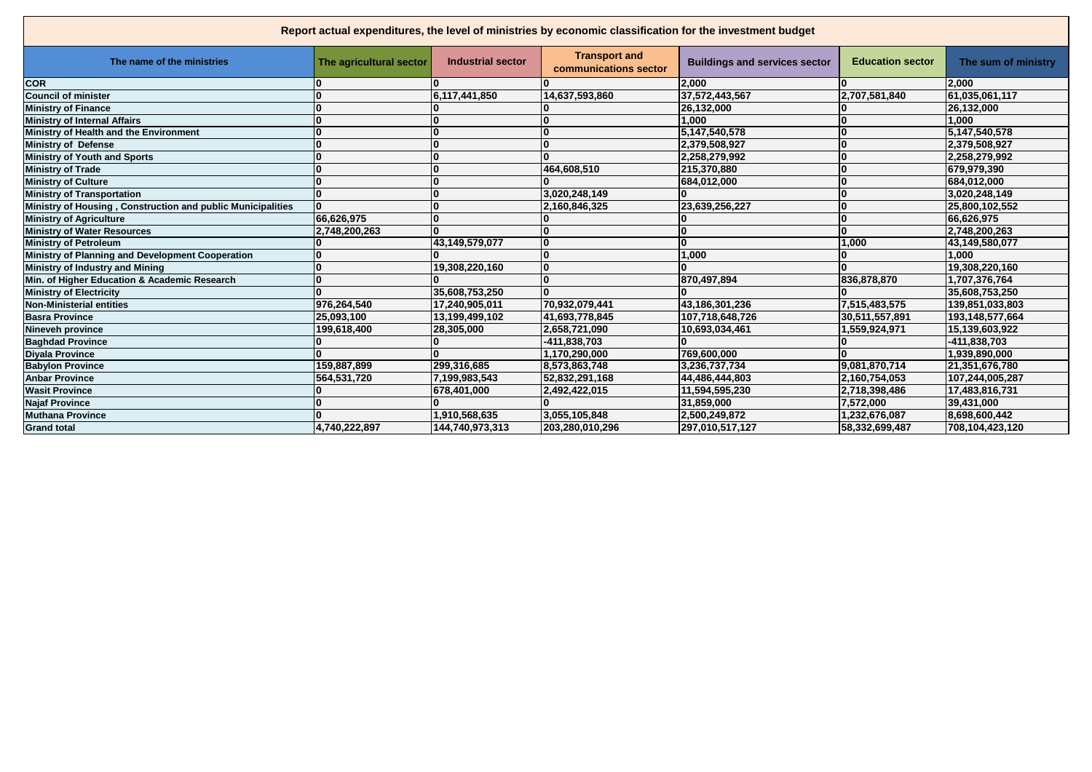| Report actual expenditures, the level of ministries by economic classification for the investment budget |                         |                          |                                               |                                      |                         |                     |
|----------------------------------------------------------------------------------------------------------|-------------------------|--------------------------|-----------------------------------------------|--------------------------------------|-------------------------|---------------------|
| The name of the ministries                                                                               | The agricultural sector | <b>Industrial sector</b> | <b>Transport and</b><br>communications sector | <b>Buildings and services sector</b> | <b>Education sector</b> | The sum of ministry |
| <b>COR</b>                                                                                               |                         |                          |                                               | 2,000                                |                         | 2,000               |
| <b>Council of minister</b>                                                                               |                         | 6,117,441,850            | 14,637,593,860                                | 37,572,443,567                       | 2,707,581,840           | 61.035.061.117      |
| <b>Ministry of Finance</b>                                                                               |                         |                          | n                                             | 26,132,000                           |                         | 26,132,000          |
| <b>Ministry of Internal Affairs</b>                                                                      |                         |                          |                                               | 1.000                                |                         | 1.000               |
| Ministry of Health and the Environment                                                                   |                         |                          | $\mathbf{0}$                                  | 5,147,540,578                        |                         | 5,147,540,578       |
| <b>Ministry of Defense</b>                                                                               |                         |                          | $\mathbf{0}$                                  | 2,379,508,927                        |                         | 2,379,508,927       |
| Ministry of Youth and Sports                                                                             |                         |                          | $\Omega$                                      | 2,258,279,992                        |                         | 2,258,279,992       |
| <b>Ministry of Trade</b>                                                                                 |                         |                          | 464,608,510                                   | 215.370.880                          |                         | 679.979.390         |
| <b>Ministry of Culture</b>                                                                               |                         |                          |                                               | 684,012,000                          |                         | 684,012,000         |
| <b>Ministry of Transportation</b>                                                                        |                         |                          | 3,020,248,149                                 |                                      |                         | 3,020,248,149       |
| Ministry of Housing, Construction and public Municipalities                                              | O                       | $\Omega$                 | 2,160,846,325                                 | 23,639,256,227                       |                         | 25,800,102,552      |
| <b>Ministry of Agriculture</b>                                                                           | 66,626,975              |                          |                                               |                                      |                         | 66,626,975          |
| Ministry of Water Resources                                                                              | 2,748,200,263           | n                        | $\Omega$                                      |                                      |                         | 2.748.200.263       |
| <b>Ministry of Petroleum</b>                                                                             |                         | 43,149,579,077           | $\bf{0}$                                      |                                      | 1.000                   | 43,149,580,077      |
| Ministry of Planning and Development Cooperation                                                         |                         |                          | $\mathbf{0}$                                  | 1,000                                |                         | 1.000               |
| Ministry of Industry and Mining                                                                          |                         | 19,308,220,160           | 0                                             |                                      | ŋ                       | 19,308,220,160      |
| Min. of Higher Education & Academic Research                                                             |                         |                          | 10                                            | 870,497,894                          | 836,878,870             | 1,707,376,764       |
| <b>Ministry of Electricity</b>                                                                           |                         | 35,608,753,250           | n                                             |                                      |                         | 35.608.753.250      |
| <b>Non-Ministerial entities</b>                                                                          | 976,264,540             | 17,240,905,011           | 70,932,079,441                                | 43,186,301,236                       | 7,515,483,575           | 139,851,033,803     |
| <b>Basra Province</b>                                                                                    | 25,093,100              | 13,199,499,102           | 41,693,778,845                                | 107,718,648,726                      | 30,511,557,891          | 193,148,577,664     |
| Nineveh province                                                                                         | 199,618,400             | 28,305,000               | 2,658,721,090                                 | 10,693,034,461                       | 1,559,924,971           | 15,139,603,922      |
| <b>Baghdad Province</b>                                                                                  |                         |                          | -411,838,703                                  |                                      |                         | -411,838,703        |
| <b>Divala Province</b>                                                                                   |                         |                          | 1.170.290.000                                 | 769.600.000                          |                         | 1.939.890.000       |
| <b>Babylon Province</b>                                                                                  | 159,887,899             | 299.316.685              | 8.573.863.748                                 | 3.236.737.734                        | 9.081.870.714           | 21.351.676.780      |
| <b>Anbar Province</b>                                                                                    | 564,531,720             | 7,199,983,543            | 52,832,291,168                                | 44,486,444,803                       | 2,160,754,053           | 107,244,005,287     |
| <b>Wasit Province</b>                                                                                    |                         | 678,401,000              | 2,492,422,015                                 | 11,594,595,230                       | 2,718,398,486           | 17,483,816,731      |
| <b>Najaf Province</b>                                                                                    |                         |                          |                                               | 31,859,000                           | 7,572,000               | 39,431,000          |
| <b>Muthana Province</b>                                                                                  |                         | 1,910,568,635            | 3,055,105,848                                 | 2.500.249.872                        | 1.232.676.087           | 8.698.600.442       |
| <b>Grand total</b>                                                                                       | 4,740,222,897           | 144,740,973,313          | 203,280,010,296                               | 297,010,517,127                      | 58,332,699,487          | 708,104,423,120     |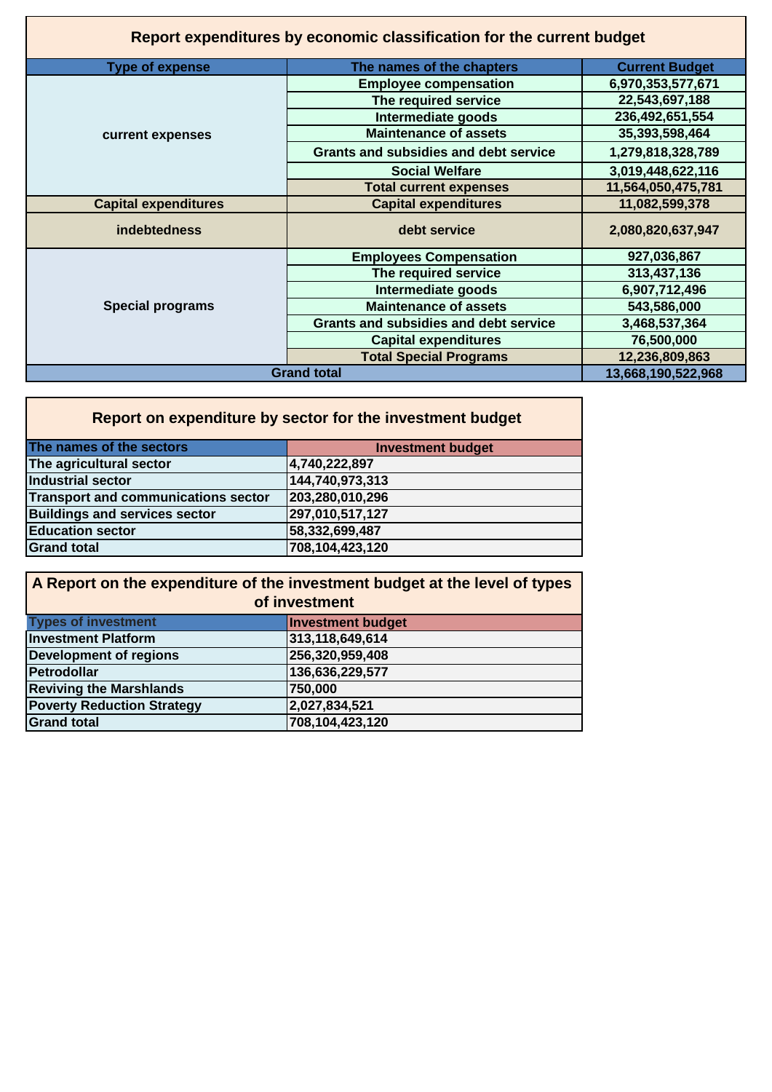| Report expenditures by economic classification for the current budget |                                              |                       |  |  |  |
|-----------------------------------------------------------------------|----------------------------------------------|-----------------------|--|--|--|
| <b>Type of expense</b>                                                | The names of the chapters                    | <b>Current Budget</b> |  |  |  |
|                                                                       | <b>Employee compensation</b>                 | 6,970,353,577,671     |  |  |  |
|                                                                       | The required service                         | 22,543,697,188        |  |  |  |
|                                                                       | Intermediate goods                           | 236,492,651,554       |  |  |  |
| current expenses                                                      | <b>Maintenance of assets</b>                 | 35,393,598,464        |  |  |  |
|                                                                       | <b>Grants and subsidies and debt service</b> | 1,279,818,328,789     |  |  |  |
|                                                                       | <b>Social Welfare</b>                        | 3,019,448,622,116     |  |  |  |
|                                                                       | <b>Total current expenses</b>                | 11,564,050,475,781    |  |  |  |
| <b>Capital expenditures</b>                                           | <b>Capital expenditures</b>                  | 11,082,599,378        |  |  |  |
| indebtedness                                                          | debt service                                 | 2,080,820,637,947     |  |  |  |
|                                                                       | <b>Employees Compensation</b>                | 927,036,867           |  |  |  |
|                                                                       | The required service                         | 313,437,136           |  |  |  |
|                                                                       | Intermediate goods                           | 6,907,712,496         |  |  |  |
| <b>Special programs</b>                                               | <b>Maintenance of assets</b>                 | 543,586,000           |  |  |  |
|                                                                       | <b>Grants and subsidies and debt service</b> | 3,468,537,364         |  |  |  |
|                                                                       | <b>Capital expenditures</b>                  | 76,500,000            |  |  |  |
|                                                                       | <b>Total Special Programs</b>                | 12,236,809,863        |  |  |  |
|                                                                       | <b>Grand total</b>                           | 13,668,190,522,968    |  |  |  |

| Report on expenditure by sector for the investment budget |                          |  |  |  |
|-----------------------------------------------------------|--------------------------|--|--|--|
| The names of the sectors                                  | <b>Investment budget</b> |  |  |  |
| The agricultural sector                                   | 4,740,222,897            |  |  |  |
| Industrial sector                                         | 144,740,973,313          |  |  |  |
| Transport and communications sector                       | 203,280,010,296          |  |  |  |
| <b>Buildings and services sector</b>                      | 297,010,517,127          |  |  |  |
| <b>Education sector</b>                                   | 58,332,699,487           |  |  |  |
| <b>Grand total</b>                                        | 708,104,423,120          |  |  |  |

| A Report on the expenditure of the investment budget at the level of types |                          |  |  |
|----------------------------------------------------------------------------|--------------------------|--|--|
| of investment                                                              |                          |  |  |
| <b>Types of investment</b>                                                 | <b>Investment budget</b> |  |  |
| <b>Investment Platform</b>                                                 | 313,118,649,614          |  |  |
| <b>Development of regions</b>                                              | 256,320,959,408          |  |  |
| Petrodollar                                                                | 136,636,229,577          |  |  |
| <b>Reviving the Marshlands</b>                                             | 750,000                  |  |  |
| <b>Poverty Reduction Strategy</b>                                          | 2,027,834,521            |  |  |
| <b>Grand total</b>                                                         | 708,104,423,120          |  |  |